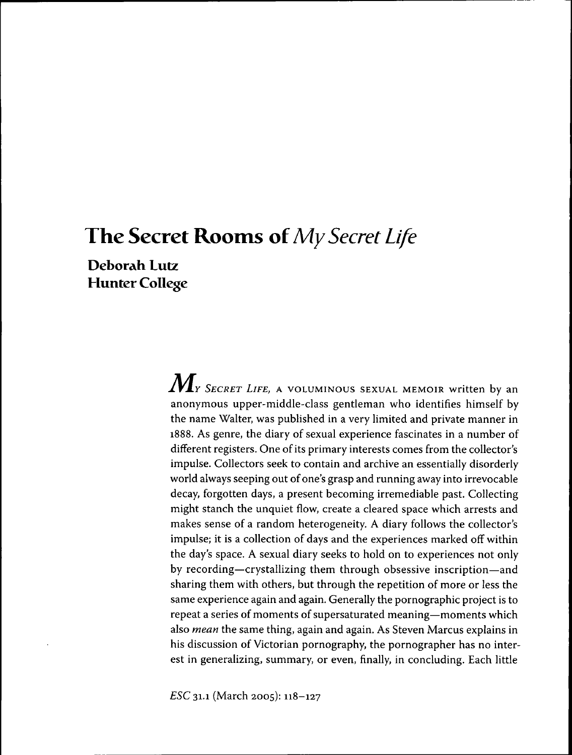## **The Secret Rooms** *oi My Secret Life*

## Deborah Lutz Hunter College

 $\boldsymbol{M}$ *r Secret Life,* a voluminous sexual memoir written by an anonymous upper-middle-class gentleman who identifies himself by the name Walter, was published in a very limited and private manner in 1888. As genre, the diary of sexual experience fascinates in a number of different registers. One of its primary interests comes from the collector's impulse. Collectors seek to contain and archive an essentially disorderly world always seeping out of one's grasp and running away into irrevocable decay, forgotten days, a present becoming irremediable past. Collecting might stanch the unquiet flow, create a cleared space which arrests and makes sense of a random heterogeneity. A diary follows the collector's impulse; it is a collection of days and the experiences marked off within the day's space. A sexual diary seeks to hold on to experiences not only by recording—crystallizing them through obsessive inscription—and sharing them with others, but through the repetition of more or less the same experience again and again. Generally the pornographic project is to repeat a series of moments of supersaturated meaning—moments which also *mean* the same thing, again and again. As Steven Marcus explains in his discussion of Victorian pornography, the pornographer has no interest in generalizing, summary, or even, finally, in concluding. Each little

*ESC* 31.1 (March 2005): 118-127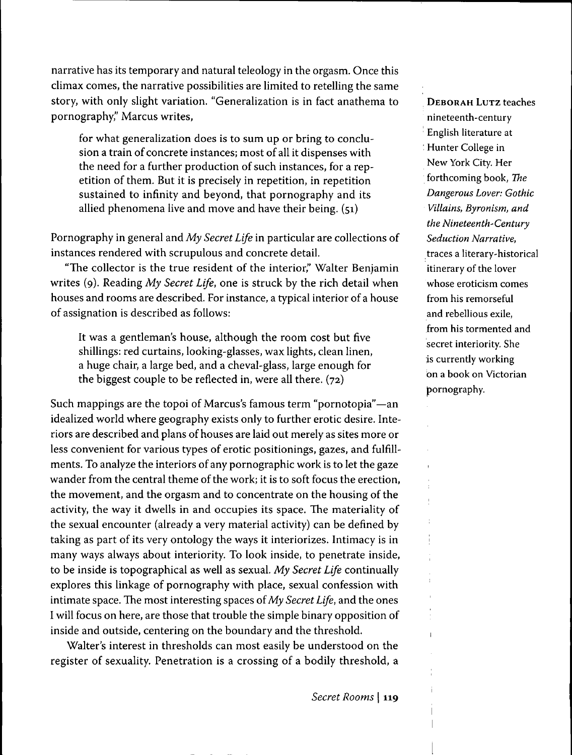narrative has its temporary and natural teleology in the orgasm. Once this climax comes, the narrative possibilities are limited to retelling the same story, with only slight variation. "Generalization is in fact anathema to pornography," Marcus writes,

for what generalization does is to sum up or bring to conclusion a train of concrete instances; most of all it dispenses with the need for a further production of such instances, for a repetition of them. But it is precisely in repetition, in repetition sustained to infinity and beyond, that pornography and its allied phenomena live and move and have their being. (51)

Pornography in general and *My Secret Life* in particular are collections of instances rendered with scrupulous and concrete detail.

"The collector is the true resident of the interior," Walter Benjamin writes (9). Reading *My Secret Life,* one is struck by the rich detail when houses and rooms are described. For instance, a typical interior of a house of assignation is described as follows:

It was a gentleman's house, although the room cost but five shillings: red curtains, looking-glasses, wax lights, clean linen, a huge chair, a large bed, and a cheval-glass, large enough for the biggest couple to be reflected in, were all there. (72)

Such mappings are the topoi of Marcus's famous term "pornotopia"—an idealized world where geography exists only to further erotic desire. Interiors are described and plans of houses are laid out merely as sites more or less convenient for various types of erotic positionings, gazes, and fulfillments. To analyze the interiors of any pornographic work is to let the gaze wander from the central theme of the work; it is to soft focus the erection, the movement, and the orgasm and to concentrate on the housing of the activity, the way it dwells in and occupies its space. The materiality of the sexual encounter (already a very material activity) can be defined by taking as part of its very ontology the ways it interiorizes. Intimacy is in many ways always about interiority. To look inside, to penetrate inside, to be inside is topographical as well as sexual. *My Secret Life* continually explores this linkage of pornography with place, sexual confession with intimate space. The most interesting spaces of My Secret Life, and the ones I will focus on here, are those that trouble the simple binary opposition of inside and outside, centering on the boundary and the threshold.

Walter's interest in thresholds can most easily be understood on the register of sexuality. Penetration is a crossing of a bodily threshold, a

DEBORAH LUTZ teaches nineteenth-century English literature at : Hunter College in New York City. Her forthcoming book. *The Dangerous Lover: Gothic Villains, Byronism, and the Nineteenth-Century Seduction Narrative,* traces a literary-historical itinerary of the lover whose eroticism comes from his remorseful and rebellious exile, from his tormented and secret interiority. She is currendy working On a book on Victorian pornography.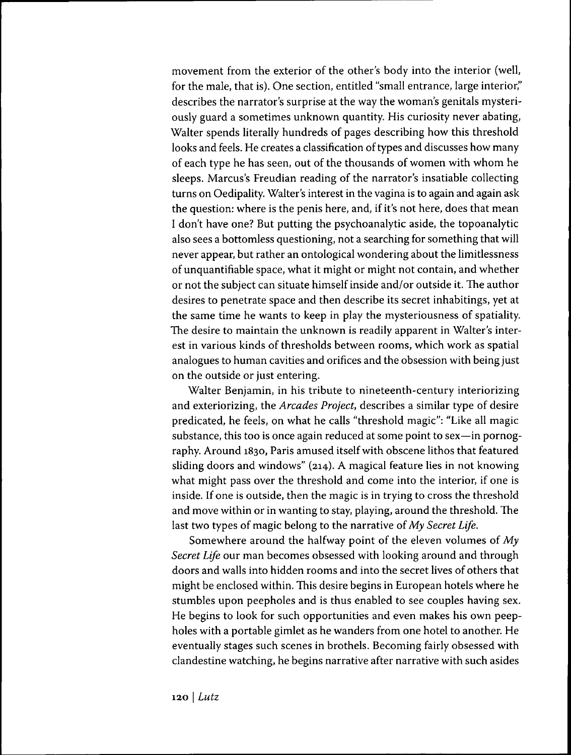movement from the exterior of the other's body into the interior (well, for the male, that is). One section, entitled "small entrance, large interior," describes the narrator's surprise at the way the woman's genitals mysteriously guard a sometimes unknown quantity. His curiosity never abating, Walter spends literally hundreds of pages describing how this threshold looks and feels. He creates a classification of types and discusses how many of each type he has seen, out of the thousands of women with whom he sleeps. Marcus's Freudian reading of the narrator's insatiable collecting turns on Oedipality. Walter's interest in the vagina is to again and again ask the question: where is the penis here, and, if it's not here, does that mean I don't have one? But putting the psychoanalytic aside, the topoanalytic also sees a bottomless questioning, not a searching for something that will never appear, but rather an ontological wondering about the limitlessness of unquantifiable space, what it might or might not contain, and whether or not the subject can situate himself inside and/or outside it. The author desires to penetrate space and then describe its secret inhabitings, yet at the same time he wants to keep in play the mysteriousness of spatiality. The desire to maintain the unknown is readily apparent in Walter's interest in various kinds of thresholds between rooms, which work as spatial analogues to human cavities and orifices and the obsession with being just on the outside or just entering.

Walter Benjamin, in his tribute to nineteenth-century interiorizing and exteriorizing, the *Arcades Project,* describes a similar type of desire predicated, he feels, on what he calls "threshold magic": "Like all magic substance, this too is once again reduced at some point to sex—in pornography. Around 1830, Paris amused itself with obscene lithos that featured sliding doors and windows" (214). A magical feature lies in not knowing what might pass over the threshold and come into the interior, if one is inside. If one is outside, then the magic is in trying to cross the threshold and move within or in wanting to stay, playing, around the threshold. The last two types of magic belong to the narrative of My Secret Life.

Somewhere around the halfway point of the eleven volumes of *My Secret Life* our man becomes obsessed with looking around and through doors and walls into hidden rooms and into the secret lives of others that might be enclosed within. This desire begins in European hotels where he stumbles upon peepholes and is thus enabled to see couples having sex. He begins to look for such opportunities and even makes his own peepholes with a portable gimlet as he wanders from one hotel to another. He eventually stages such scenes in brothels. Becoming fairly obsessed with clandestine watching, he begins narrative after narrative with such asides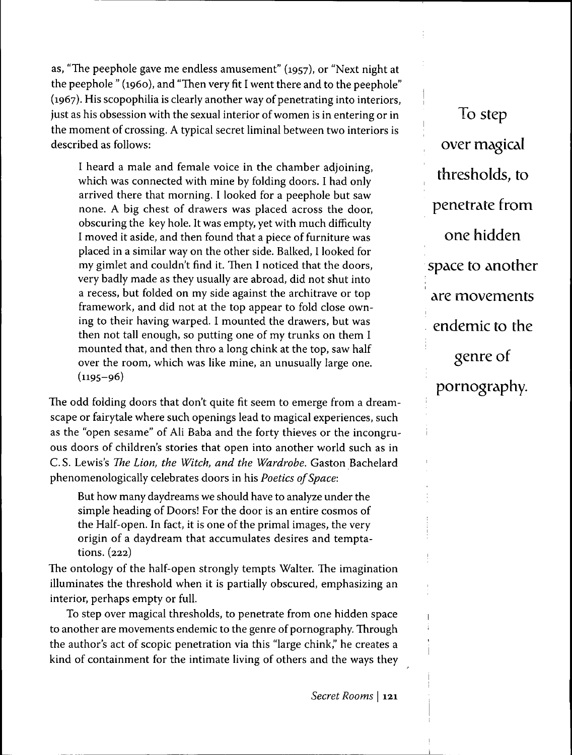as, "The peephole gave me endless amusement" (1957), or "Next night at the peephole" (i960), and "Then very fit I went there and to the peephole" (1967). His scopophilia is clearly another way of penetrating into interiors, just as his obsession with the sexual interior of women is in entering or in the moment of crossing. A typical secret liminal between two interiors is described as follows:

I heard a male and female voice in the chamber adjoining, which was connected with mine by folding doors. I had only arrived there that morning. I looked for a peephole but saw none. A big chest of drawers was placed across the door, obscuring the key hole. It was empty, yet with much difficulty I moved it aside, and then found that a piece of furniture was placed in a similar way on the other side. Balked, I looked for my gimlet and couldn't find it. Then I noticed that the doors, very badly made as they usually are abroad, did not shut into a recess, but folded on my side against the architrave or top framework, and did not at the top appear to fold close owning to their having warped. I mounted the drawers, but was then not tall enough, so putting one of my trunks on them I mounted that, and then thro a long chink at the top, saw half over the room, which was like mine, an unusually large one.  $(1195 - 96)$ 

The odd folding doors that don't quite fit seem to emerge from a dreamscape or fairytale where such openings lead to magical experiences, such as the "open sesame" of Ali Baba and the forty thieves or the incongruous doors of children's stories that open into another world such as in C.S. Lewis's *The Lion, the Witch, and the Wardrobe.* Gaston Bachelard phenomenologically celebrates doors in his *Poetics of Space:*

But how many daydreams we should have to analyze under the simple heading of Doors! For the door is an entire cosmos of the Half-open. In fact, it is one of the primal images, the very origin of a daydream that accumulates desires and temptations. (222)

The ontology of the half-open strongly tempts Walter. The imagination illuminates the threshold when it is partially obscured, emphasizing an interior, perhaps empty or full.

To step over magical thresholds, to penetrate from one hidden space to another are movements endemic to the genre of pornography. Through the author's act of scopic penetration via this "large chink," he creates a kind of containment for the intimate living of others and the ways they

To step over magical thresholds, to penetrate from one hidden space to another are movements endemic to the genre of pornography.

**Secret Rooms** | 121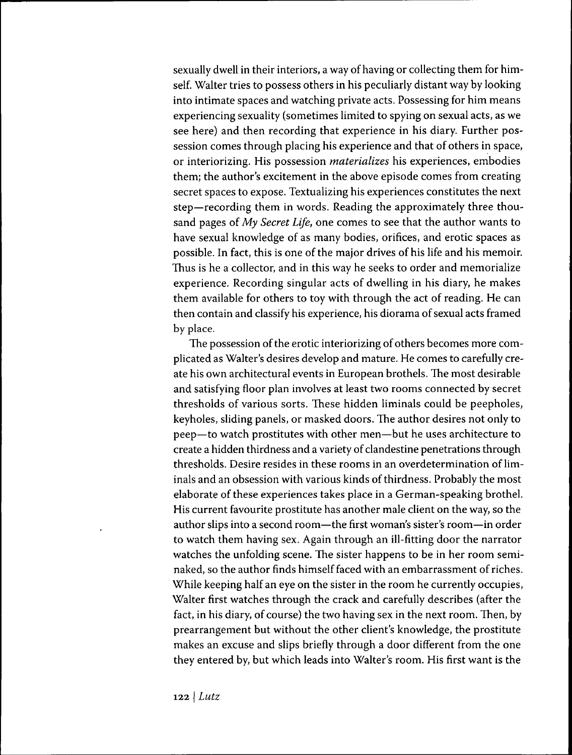sexually dwell in their interiors, a way of having or collecting them for himself. Walter tries to possess others in his peculiarly distant way by looking into intimate spaces and watching private acts. Possessing for him means experiencing sexuality (sometimes limited to spying on sexual acts, as we see here) and then recording that experience in his diary. Further possession comes through placing his experience and that of others in space, or interiorizing. His possession *materializes* his experiences, embodies them; the author's excitement in the above episode comes from creating secret spaces to expose. Textualizing his experiences constitutes the next step—recording them in words. Reading the approximately three thousand pages of *My Secret Life,* one comes to see that the author wants to have sexual knowledge of as many bodies, orifices, and erotic spaces as possible. In fact, this is one of the major drives of his life and his memoir. Thus is he a collector, and in this way he seeks to order and memorialize experience. Recording singular acts of dwelling in his diary, he makes them available for others to toy with through the act of reading. He can then contain and classify his experience, his diorama of sexual acts framed by place.

The possession of the erotic interiorizing of others becomes more complicated as Walter's desires develop and mature. He comes to carefully create his own architectural events in European brothels. The most desirable and satisfying floor plan involves at least two rooms connected by secret thresholds of various sorts. These hidden liminals could be peepholes, keyholes, sliding panels, or masked doors. The author desires not only to peep—to watch prostitutes with other men—but he uses architecture to create a hidden thirdness and a variety of clandestine penetrations through thresholds. Desire resides in these rooms in an overdetermination of liminals and an obsession with various kinds of thirdness. Probably the most elaborate of these experiences takes place in a German-speaking brothel. His current favourite prostitute has another male client on the way, so the author slips into a second room—the first woman's sister's room—in order to watch them having sex. Again through an ill-fitting door the narrator watches the unfolding scene. The sister happens to be in her room seminaked, so the author finds himself faced with an embarrassment of riches. While keeping half an eye on the sister in the room he currently occupies, Walter first watches through the crack and carefully describes (after the fact, in his diary, of course) the two having sex in the next room. Then, by prearrangement but without the other client's knowledge, the prostitute makes an excuse and slips briefly through a door different from the one they entered by, but which leads into Walter's room. His first want is the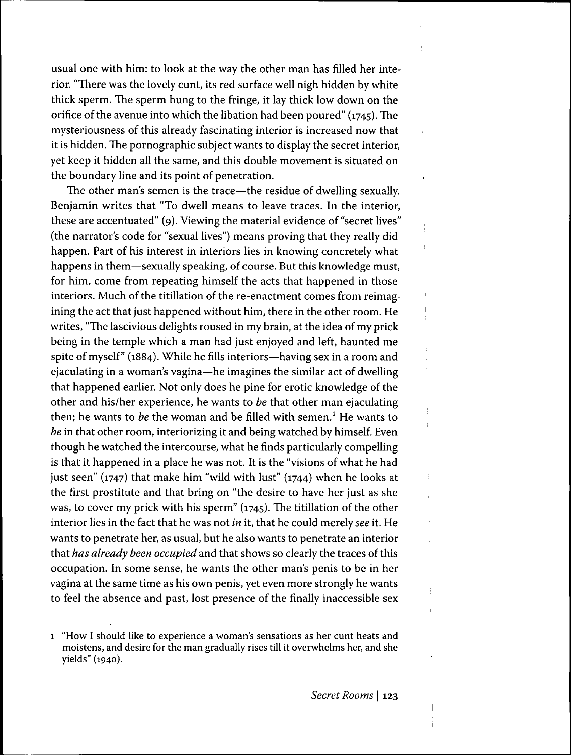usual one with him: to look at the way the other man has filled her interior. "There was the lovely cunt, its red surface well nigh hidden by white thick sperm. The sperm hung to the fringe, it lay thick low down on the orifice of the avenue into which the libation had been poured" (1745). The mysteriousness of this already fascinating interior is increased now that it is hidden. The pornographic subject wants to display the secret interior, yet keep it hidden all the same, and this double movement is situated on the boundary line and its point of penetration.

The other man's semen is the trace—the residue of dwelling sexually. Benjamin writes that "To dwell means to leave traces. In the interior, these are accentuated" (9). Viewing the material evidence of "secret lives" (the narrator's code for "sexual lives") means proving that they really did happen. Part of his interest in interiors lies in knowing concretely what happens in them—sexually speaking, of course. But this knowledge must, for him, come from repeating himself the acts that happened in those interiors. Much of the titillation of the re-enactment comes from reimagining the act that just happened without him, there in the other room. He writes, "The lascivious delights roused in my brain, at the idea of my prick being in the temple which a man had just enjoyed and left, haunted me spite of myself" (1884). While he fills interiors—having sex in a room and ejaculating in a woman's vagina—he imagines the similar act of dwelling that happened earlier. Not only does he pine for erotic knowledge of the other and his/her experience, he wants to *be* that other man ejaculating then; he wants to *be* the woman and be filled with semen.' He wants to *be* in that other room, interiorizing it and being watched by himself. Even though he watched the intercourse, what he finds particularly compelling is that it happened in a place he was not. It is the "visions of what he had just seen" (1747) that make him "wild with lust" (1744) when he looks at the first prostitute and that bring on "the desire to have her just as she was, to cover my prick with his sperm" (1745). The titillation of the other interior lies in the fact that he was not *in* it, that he could merely *see* it. He wants to penetrate her, as usual, but he also wants to penetrate an interior that *has already been occupied* and that shows so clearly the traces of this occupation. In some sense, he wants the other man's penis to be in her vagina at the same time as his own penis, yet even more strongly he wants to feel the absence and past, lost presence of the finally inaccessible sex

1 "How I should like to experience a woman's sensations as her cunt heats and moistens, and desire for the man gradually rises till it overwhelms her, and she yields" (1940).

*Secret Rooms* | 123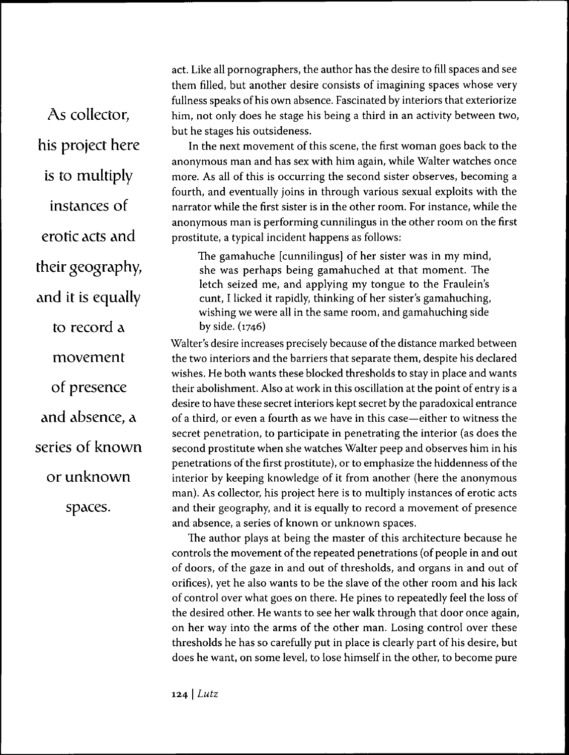act. Like all pornographers, the author has the desire to fill spaces and see them filled, but another desire consists of imagining spaces whose very fullness speaks of his own absence. Fascinated by interiors that exteriorize him, not only does he stage his being a third in an activity between two, but he stages his outsideness.

In the next movement of this scene, the first woman goes back to the anonymous man and has sex with him again, while Walter watches once more. As all of this is occurring the second sister observes, becoming a fourth, and eventually joins in through various sexual exploits with the narrator while the first sister is in the other room. For instance, while the anonymous man is performing cunnilingus in the other room on the first prostitute, a typical incident happens as follows:

The gamahuche [cunnilingus] of her sister was in my mind, she was perhaps being gamahuched at that moment. The letch seized me, and applying my tongue to the Fraulein's cunt, I licked it rapidly, thinking of her sister's gamahuching, wishing we were all in the same room, and gamahuching side by side. (1746)

Walter's desire increases precisely because of the distance marked between the two interiors and the barriers that separate them, despite his declared wishes. He both wants these blocked thresholds to stay in place and wants their abolishment. Also at work in this oscillation at the point of entry is a desire to have these secret interiors kept secret by the paradoxical entrance of a third, or even a fourth as we have in this case—either to witness the secret penetration, to participate in penetrating the interior (as does the second prostitute when she watches Walter peep and observes him in his penetrations of the first prostitute), or to emphasize the hiddenness of the interior by keeping knowledge of it from another (here the anonymous man). As collector, his project here is to multiply instances of erotic acts and their geography, and it is equally to record a movement of presence and absence, a series of known or unknown spaces.

The author plays at being the master of this architecture because he controls the movement of the repeated penetrations (of people in and out of doors, of the gaze in and out of thresholds, and organs in and out of orifices), yet he also wants to be the slave of the other room and his lack of control over what goes on there. He pines to repeatedly feel the loss of the desired other. He wants to see her walk through that door once again, on her way into the arms of the other man. Losing control over these thresholds he has so carefully put in place is clearly part of his desire, but does he want, on some level, to lose himself in the other, to become pure

As collector; his project here is to multiply instances of erotic acts and their geography, and it is equally to record a movement of presence and absence, a series of known or unknown spaces.

124 I *Lutz*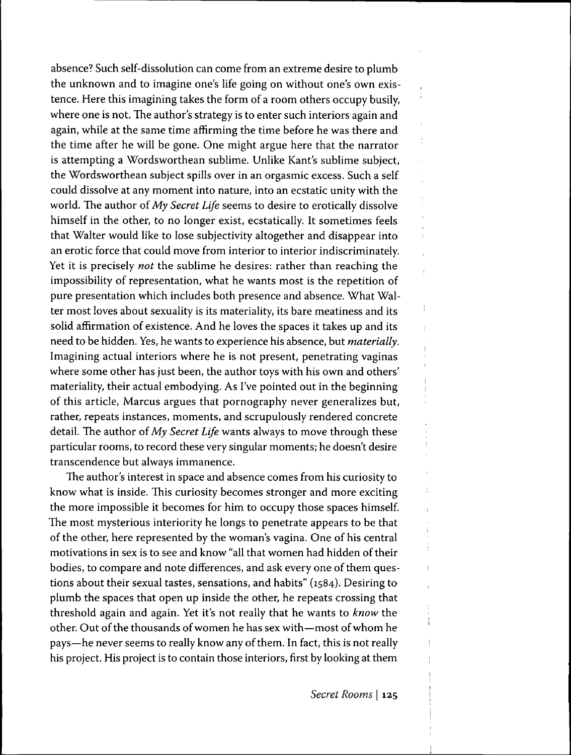absence? Such self-dissolution can come from an extreme desire to plumb the unknown and to imagine one's life going on without one's own existence. Here this imagining takes the form of a room others occupy busily, where one is not. The author's strategy is to enter such interiors again and again, while at the same time affirming the time before he was there and the time after he will be gone. One might argue here that the narrator is attempting a Wordsworthean sublime. Unlike Kant's sublime subject, the Wordsworthean subject spills over in an orgasmic excess. Such a self could dissolve at any moment into nature, into an ecstatic unity with the world. The author of My Secret Life seems to desire to erotically dissolve himself in the other, to no longer exist, ecstatically. It sometimes feels that Walter would like to lose subjectivity altogether and disappear into an erotic force that could move from interior to interior indiscriminately. Yet it is precisely *not* the sublime he desires: rather than reaching the impossibility of representation, what he wants most is the repetition of pure presentation which includes both presence and absence. What Walter most loves about sexuality is its materiality, its bare meatiness and its solid affirmation of existence. And he loves the spaces it takes up and its need to be hidden. Yes, he wants to experience his absence, but *materially.* Imagining actual interiors where he is not present, penetrating vaginas where some other has just been, the author toys with his own and others' materiality, their actual embodying. As I've pointed out in the beginning of this article, Marcus argues that pornography never generalizes but, rather, repeats instances, moments, and scrupulously rendered concrete detail. The author of *My Secret Life* wants always to move through these particular rooms, to record these very singular moments; he doesn't desire transcendence but always immanence.

The author's interest in space and absence comes from his curiosity to know what is inside. This curiosity becomes stronger and more exciting the more impossible it becomes for him to occupy those spaces himself. The most mysterious interiority he longs to penetrate appears to be that of the other, here represented by the woman's vagina. One of his central motivations in sex is to see and know "all that women had hidden of their bodies, to compare and note differences, and ask every one of them questions about their sexual tastes, sensations, and habits" (1584). Desiring to plumb the spaces that open up inside the other, he repeats crossing that threshold again and again. Yet it's not really that he wants to *know* the other. Out of the thousands of women he has sex with—most of whom he pays—he never seems to really know any of them. In fact, this is not really his project. His project is to contain those interiors, first by looking at them

**Secret Rooms** | 125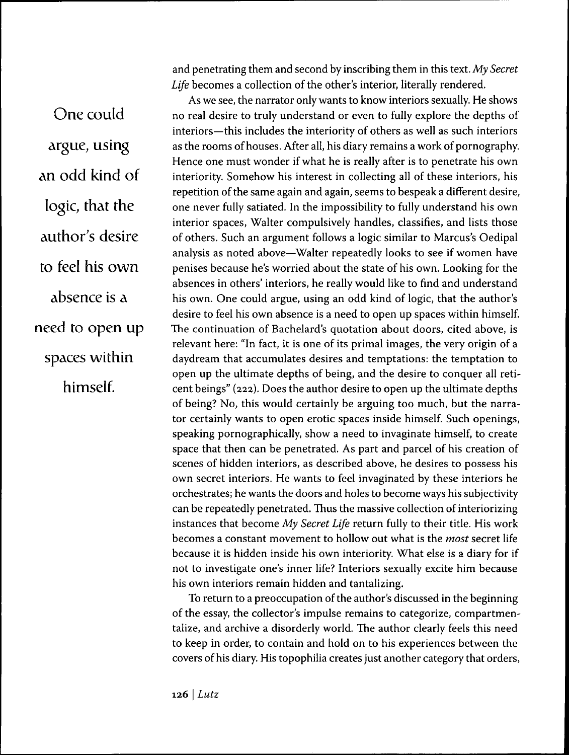and penetrating them and second by inscribing them in this text. *My Secret Life* becomes a collection of the other's interior, literally rendered.

One could argue, using an odd kind of logic, that the author's desire to feel his own absence is a need to open up spaces within himself.

As we see, the narrator only wants to know interiors sexually. He shows no real desire to truly understand or even to fully explore the depths of interiors—this includes the interiority of others as well as such interiors as the rooms of houses. After all, his diary remains a work of pornography. Hence one must wonder if what he is really after is to penetrate his own interiority. Somehow his interest in collecting all of these interiors, his repetition of the same again and again, seems to bespeak a different desire, one never fully satiated. In the impossibility to fully understand his own interior spaces, Walter compulsively handles, classifies, and lists those of others. Such an argument follows a logic similar to Marcus's Oedipal analysis as noted above—Walter repeatedly looks to see if women have penises because he's worried about the state of his own. Looking for the absences in others' interiors, he really would like to find and understand his own. One could argue, using an odd kind of logic, that the author's desire to feel his own absence is a need to open up spaces within himself. The continuation of Bachelard's quotation about doors, cited above, is relevant here: "In fact, it is one of its primal images, the very origin of a daydream that accumulates desires and temptations: the temptation to open up the ultimate depths of being, and the desire to conquer all reticent beings" (222). Does the author desire to open up the ultimate depths of being? No, this would certainly be arguing too much, but the narrator certainly wants to open erotic spaces inside himself. Such openings, speaking pornographically, show a need to invaginate himself, to create space that then can be penetrated. As part and parcel of his creation of scenes of hidden interiors, as described above, he desires to possess his own secret interiors. He wants to feel invaginated by these interiors he orchestrates; he wants the doors and holes to become ways his subjectivity can be repeatedly penetrated. Thus the massive collection of interiorizing instances that become *My Secret Life* return fully to their title. His work becomes a constant movement to hollow out what is the *most* secret life because it is hidden inside his own interiority. What else is a diary for if not to investigate one's inner life? Interiors sexually excite him because his own interiors remain hidden and tantalizing.

To return to a preoccupation of the author's discussed in the beginning of the essay, the collector's impulse remains to categorize, compartmentalize, and archive a disorderly world. The author clearly feels this need to keep in order, to contain and hold on to his experiences between the covers of his diary. His topophilia creates just another category that orders.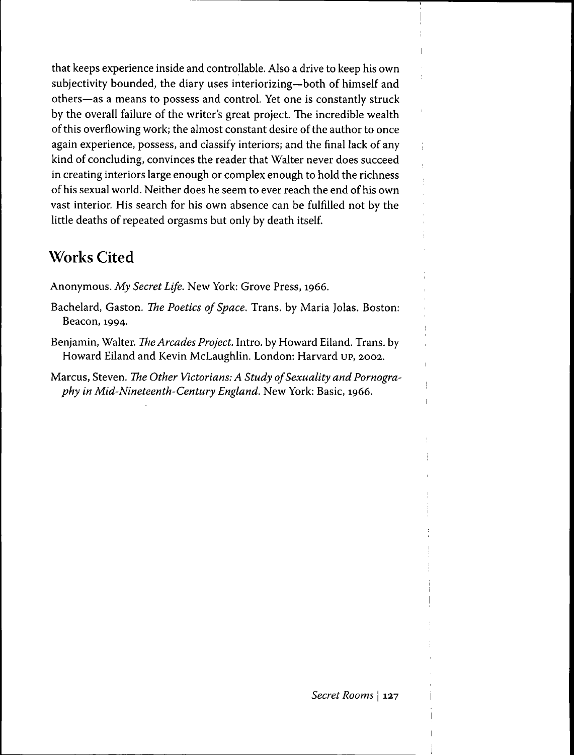that keeps experience inside and controllable. Also a drive to keep his own subjectivity bounded, the diary uses interiorizing—both of himself and others—as a means to possess and control. Yet one is constantly struck by the overall failure of the writer's great project. The incredible wealth of this overflowing work; the almost constant desire of the author to once again experience, possess, and classify interiors; and the final lack of any kind of concluding, convinces the reader that Walter never does succeed in creating interiors large enough or complex enough to hold the richness of his sexual world. Neither does he seem to ever reach the end of his own vast interior. His search for his own absence can be fulfilled not by the little deaths of repeated orgasms but only by death itself.

## Works Cited

Anonymous. *My Secret Life.* New York: Grove Press, 1966.

- Bachelard, Gaston. *The Poetics of Space.* Trans, by Maria Jolas. Boston: Beacon, 1994.
- Benjamin, Walter. *The Arcades Project.* Intro, by Howard Eiland. Trans, by Howard Eiland and Kevin McLaughlin. London: Harvard UP, 2002.
- Marcus, Steven. *The Other Victorians: A Study of Sexuality and Pornography in Mid-Nineteenth-Century England.* New York: Basic, 1966.